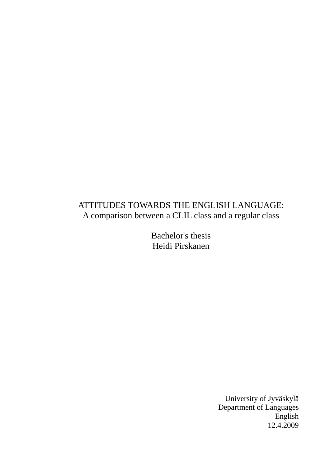# ATTITUDES TOWARDS THE ENGLISH LANGUAGE: A comparison between a CLIL class and a regular class

Bachelor's thesis Heidi Pirskanen

> University of Jyväskylä Department of Languages English 12.4.2009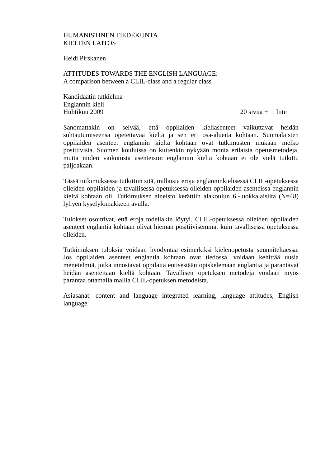# HUMANISTINEN TIEDEKUNTA KIELTEN LAITOS

Heidi Pirskanen

ATTITUDES TOWARDS THE ENGLISH LANGUAGE: A comparison between a CLIL-class and a regular class

Kandidaatin tutkielma Englannin kieli Huhtikuu 2009 20 sivua + 1 liite

Sanomattakin on selvää, että oppilaiden kieliasenteet vaikuttavat heidän suhtautumiseensa opetettavaa kieltä ja sen eri osa-alueita kohtaan. Suomalaisten oppilaiden asenteet englannin kieltä kohtaan ovat tutkimusten mukaan melko positiivisia. Suomen kouluissa on kuitenkin nykyään monia erilaisia opetusmetodeja, mutta niiden vaikutusta asenteisiin englannin kieltä kohtaan ei ole vielä tutkittu paljoakaan.

Tässä tutkimuksessa tutkittiin sitä, millaisia eroja englanninkielisessä CLIL-opetuksessa olleiden oppilaiden ja tavallisessa opetuksessa olleiden oppilaiden asenteissa englannin kieltä kohtaan oli. Tutkimuksen aineisto kerättiin alakoulun 6.-luokkalaisilta (N=48) lyhyen kyselylomakkeen avulla.

Tulokset osoittivat, että eroja todellakin löytyi. CLIL-opetuksessa olleiden oppilaiden asenteet englantia kohtaan olivat hieman positiivisemmat kuin tavallisessa opetuksessa olleiden.

Tutkimuksen tuloksia voidaan hyödyntää esimerkiksi kielenopetusta suunniteltaessa. Jos oppilaiden asenteet englantia kohtaan ovat tiedossa, voidaan kehittää uusia menetelmiä, jotka innostavat oppilaita entisestään opiskelemaan englantia ja parantavat heidän asenteitaan kieltä kohtaan. Tavallisen opetuksen metodeja voidaan myös parantaa ottamalla mallia CLIL-opetuksen metodeista.

Asiasanat: content and language integrated learning, language attitudes, English language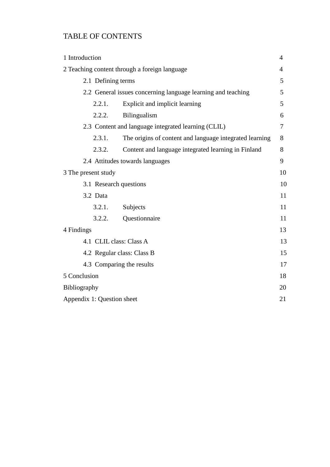# TABLE OF CONTENTS

| 1 Introduction                                               |                                                         | 4  |  |
|--------------------------------------------------------------|---------------------------------------------------------|----|--|
| 2 Teaching content through a foreign language                |                                                         |    |  |
| 2.1 Defining terms                                           |                                                         |    |  |
| 2.2 General issues concerning language learning and teaching |                                                         |    |  |
| 2.2.1.                                                       | Explicit and implicit learning                          | 5  |  |
| 2.2.2.                                                       | Bilingualism                                            | 6  |  |
|                                                              | 2.3 Content and language integrated learning (CLIL)     | 7  |  |
| 2.3.1.                                                       | The origins of content and language integrated learning | 8  |  |
| 2.3.2.                                                       | Content and language integrated learning in Finland     | 8  |  |
| 2.4 Attitudes towards languages                              |                                                         |    |  |
| 3 The present study                                          |                                                         | 10 |  |
| 3.1 Research questions                                       |                                                         |    |  |
| 3.2 Data                                                     |                                                         | 11 |  |
| 3.2.1.                                                       | Subjects                                                | 11 |  |
| 3.2.2.                                                       | Questionnaire                                           | 11 |  |
| 4 Findings                                                   |                                                         | 13 |  |
| 4.1 CLIL class: Class A                                      |                                                         | 13 |  |
| 4.2 Regular class: Class B                                   |                                                         | 15 |  |
|                                                              | 4.3 Comparing the results                               |    |  |
| 5 Conclusion                                                 |                                                         | 18 |  |
| Bibliography                                                 |                                                         | 20 |  |
|                                                              | Appendix 1: Question sheet                              |    |  |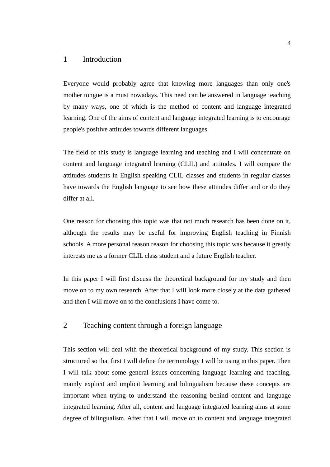# 1 Introduction

Everyone would probably agree that knowing more languages than only one's mother tongue is a must nowadays. This need can be answered in language teaching by many ways, one of which is the method of content and language integrated learning. One of the aims of content and language integrated learning is to encourage people's positive attitudes towards different languages.

The field of this study is language learning and teaching and I will concentrate on content and language integrated learning (CLIL) and attitudes. I will compare the attitudes students in English speaking CLIL classes and students in regular classes have towards the English language to see how these attitudes differ and or do they differ at all.

One reason for choosing this topic was that not much research has been done on it, although the results may be useful for improving English teaching in Finnish schools. A more personal reason reason for choosing this topic was because it greatly interests me as a former CLIL class student and a future English teacher.

In this paper I will first discuss the theoretical background for my study and then move on to my own research. After that I will look more closely at the data gathered and then I will move on to the conclusions I have come to.

# 2 Teaching content through a foreign language

This section will deal with the theoretical background of my study. This section is structured so that first I will define the terminology I will be using in this paper. Then I will talk about some general issues concerning language learning and teaching, mainly explicit and implicit learning and bilingualism because these concepts are important when trying to understand the reasoning behind content and language integrated learning. After all, content and language integrated learning aims at some degree of bilingualism. After that I will move on to content and language integrated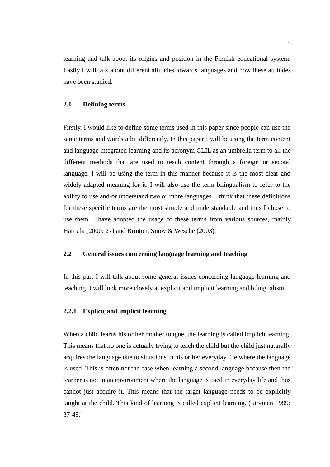learning and talk about its origins and position in the Finnish educational system. Lastly I will talk about different attitudes towards languages and how these attitudes have been studied.

#### **2.1 Defining terms**

Firstly, I would like to define some terms used in this paper since people can use the same terms and words a bit differently. In this paper I will be using the term content and language integrated learning and its acronym CLIL as an umbrella term to all the different methods that are used to teach content through a foreign or second language. I will be using the term in this manner because it is the most clear and widely adapted meaning for it. I will also use the term bilingualism to refer to the ability to use and/or understand two or more languages. I think that these definitions for these specific terms are the most simple and understandable and thus I chose to use them. I have adopted the usage of these terms from various sources, mainly Hartiala (2000: 27) and Brinton, Snow & Wesche (2003).

## **2.2 General issues concerning language learning and teaching**

In this part I will talk about some general issues concerning language learning and teaching. I will look more closely at explicit and implicit learning and bilingualism.

### **2.2.1 Explicit and implicit learning**

When a child learns his or her mother tongue, the learning is called implicit learning. This means that no one is actually trying to teach the child but the child just naturally acquires the language due to situations in his or her everyday life where the language is used. This is often not the case when learning a second language because then the learner is not in an environment where the language is used in everyday life and thus cannot just acquire it. This means that the target language needs to be explicitly taught at the child. This kind of learning is called explicit learning. (Järvinen 1999: 37-49.)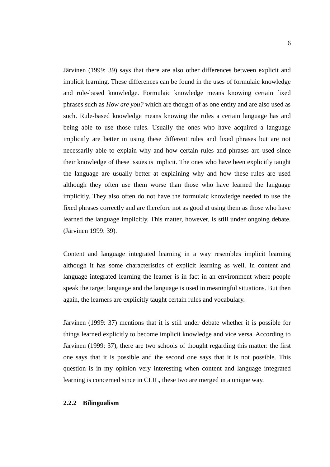Järvinen (1999: 39) says that there are also other differences between explicit and implicit learning. These differences can be found in the uses of formulaic knowledge and rule-based knowledge. Formulaic knowledge means knowing certain fixed phrases such as *How are you?* which are thought of as one entity and are also used as such. Rule-based knowledge means knowing the rules a certain language has and being able to use those rules. Usually the ones who have acquired a language implicitly are better in using these different rules and fixed phrases but are not necessarily able to explain why and how certain rules and phrases are used since their knowledge of these issues is implicit. The ones who have been explicitly taught the language are usually better at explaining why and how these rules are used although they often use them worse than those who have learned the language implicitly. They also often do not have the formulaic knowledge needed to use the fixed phrases correctly and are therefore not as good at using them as those who have learned the language implicitly. This matter, however, is still under ongoing debate. (Järvinen 1999: 39).

Content and language integrated learning in a way resembles implicit learning although it has some characteristics of explicit learning as well. In content and language integrated learning the learner is in fact in an environment where people speak the target language and the language is used in meaningful situations. But then again, the learners are explicitly taught certain rules and vocabulary.

Järvinen (1999: 37) mentions that it is still under debate whether it is possible for things learned explicitly to become implicit knowledge and vice versa. According to Järvinen (1999: 37), there are two schools of thought regarding this matter: the first one says that it is possible and the second one says that it is not possible. This question is in my opinion very interesting when content and language integrated learning is concerned since in CLIL, these two are merged in a unique way.

### **2.2.2 Bilingualism**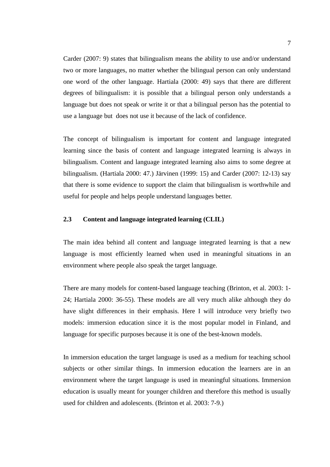Carder (2007: 9) states that bilingualism means the ability to use and/or understand two or more languages, no matter whether the bilingual person can only understand one word of the other language. Hartiala (2000: 49) says that there are different degrees of bilingualism: it is possible that a bilingual person only understands a language but does not speak or write it or that a bilingual person has the potential to use a language but does not use it because of the lack of confidence.

The concept of bilingualism is important for content and language integrated learning since the basis of content and language integrated learning is always in bilingualism. Content and language integrated learning also aims to some degree at bilingualism. (Hartiala 2000: 47.) Järvinen (1999: 15) and Carder (2007: 12-13) say that there is some evidence to support the claim that bilingualism is worthwhile and useful for people and helps people understand languages better.

### **2.3 Content and language integrated learning (CLIL)**

The main idea behind all content and language integrated learning is that a new language is most efficiently learned when used in meaningful situations in an environment where people also speak the target language.

There are many models for content-based language teaching (Brinton, et al. 2003: 1- 24; Hartiala 2000: 36-55). These models are all very much alike although they do have slight differences in their emphasis. Here I will introduce very briefly two models: immersion education since it is the most popular model in Finland, and language for specific purposes because it is one of the best-known models.

In immersion education the target language is used as a medium for teaching school subjects or other similar things. In immersion education the learners are in an environment where the target language is used in meaningful situations. Immersion education is usually meant for younger children and therefore this method is usually used for children and adolescents. (Brinton et al. 2003: 7-9.)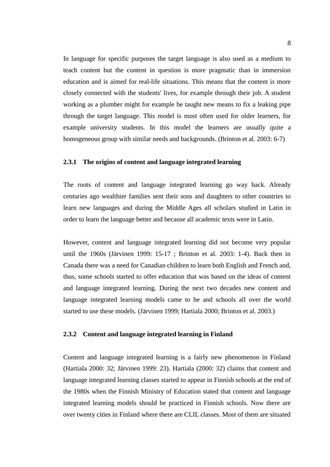In language for specific purposes the target language is also used as a medium to teach content but the content in question is more pragmatic than in immersion education and is aimed for real-life situations. This means that the content is more closely connected with the students' lives, for example through their job. A student working as a plumber might for example be taught new means to fix a leaking pipe through the target language. This model is most often used for older learners, for example university students. In this model the learners are usually quite a homogeneous group with similar needs and backgrounds. (Brinton et al. 2003: 6-7)

### **2.3.1 The origins of content and language integrated learning**

The roots of content and language integrated learning go way back. Already centuries ago wealthier families sent their sons and daughters to other countries to learn new languages and during the Middle Ages all scholars studied in Latin in order to learn the language better and because all academic texts were in Latin.

However, content and language integrated learning did not become very popular until the 1960s (Järvinen 1999: 15-17 ; Brinton et al. 2003: 1-4). Back then in Canada there was a need for Canadian children to learn both English and French and, thus, some schools started to offer education that was based on the ideas of content and language integrated learning. During the next two decades new content and language integrated learning models came to be and schools all over the world started to use these models. (Järvinen 1999; Hartiala 2000; Brinton et al. 2003.)

### **2.3.2 Content and language integrated learning in Finland**

Content and language integrated learning is a fairly new phenomenon in Finland (Hartiala 2000: 32; Järvinen 1999: 23). Hartiala (2000: 32) claims that content and language integrated learning classes started to appear in Finnish schools at the end of the 1980s when the Finnish Ministry of Education stated that content and language integrated learning models should be practiced in Finnish schools. Now there are over twenty cities in Finland where there are CLIL classes. Most of them are situated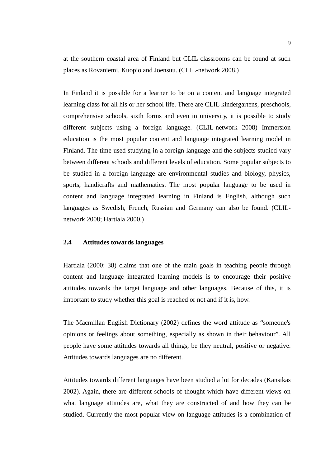at the southern coastal area of Finland but CLIL classrooms can be found at such places as Rovaniemi, Kuopio and Joensuu. (CLIL-network 2008.)

In Finland it is possible for a learner to be on a content and language integrated learning class for all his or her school life. There are CLIL kindergartens, preschools, comprehensive schools, sixth forms and even in university, it is possible to study different subjects using a foreign language. (CLIL-network 2008) Immersion education is the most popular content and language integrated learning model in Finland. The time used studying in a foreign language and the subjects studied vary between different schools and different levels of education. Some popular subjects to be studied in a foreign language are environmental studies and biology, physics, sports, handicrafts and mathematics. The most popular language to be used in content and language integrated learning in Finland is English, although such languages as Swedish, French, Russian and Germany can also be found. (CLILnetwork 2008; Hartiala 2000.)

### **2.4 Attitudes towards languages**

Hartiala (2000: 38) claims that one of the main goals in teaching people through content and language integrated learning models is to encourage their positive attitudes towards the target language and other languages. Because of this, it is important to study whether this goal is reached or not and if it is, how.

The Macmillan English Dictionary (2002) defines the word attitude as "someone's opinions or feelings about something, especially as shown in their behaviour". All people have some attitudes towards all things, be they neutral, positive or negative. Attitudes towards languages are no different.

Attitudes towards different languages have been studied a lot for decades (Kansikas 2002). Again, there are different schools of thought which have different views on what language attitudes are, what they are constructed of and how they can be studied. Currently the most popular view on language attitudes is a combination of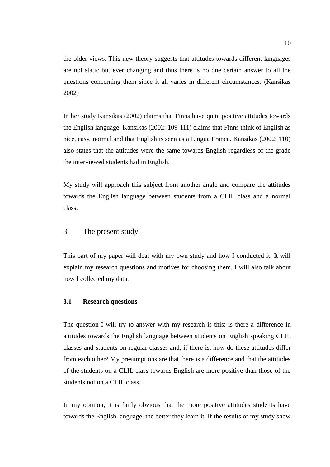the older views. This new theory suggests that attitudes towards different languages are not static but ever changing and thus there is no one certain answer to all the questions concerning them since it all varies in different circumstances. (Kansikas 2002)

In her study Kansikas (2002) claims that Finns have quite positive attitudes towards the English language. Kansikas (2002: 109-111) claims that Finns think of English as nice, easy, normal and that English is seen as a Lingua Franca. Kansikas (2002: 110) also states that the attitudes were the same towards English regardless of the grade the interviewed students had in English.

My study will approach this subject from another angle and compare the attitudes towards the English language between students from a CLIL class and a normal class.

# 3 The present study

This part of my paper will deal with my own study and how I conducted it. It will explain my research questions and motives for choosing them. I will also talk about how I collected my data.

## **3.1 Research questions**

The question I will try to answer with my research is this: is there a difference in attitudes towards the English language between students on English speaking CLIL classes and students on regular classes and, if there is, how do these attitudes differ from each other? My presumptions are that there is a difference and that the attitudes of the students on a CLIL class towards English are more positive than those of the students not on a CLIL class.

In my opinion, it is fairly obvious that the more positive attitudes students have towards the English language, the better they learn it. If the results of my study show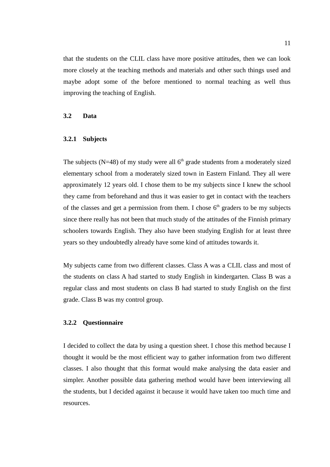that the students on the CLIL class have more positive attitudes, then we can look more closely at the teaching methods and materials and other such things used and maybe adopt some of the before mentioned to normal teaching as well thus improving the teaching of English.

## **3.2 Data**

### **3.2.1 Subjects**

The subjects ( $N=48$ ) of my study were all  $6<sup>th</sup>$  grade students from a moderately sized elementary school from a moderately sized town in Eastern Finland. They all were approximately 12 years old. I chose them to be my subjects since I knew the school they came from beforehand and thus it was easier to get in contact with the teachers of the classes and get a permission from them. I chose  $6<sup>th</sup>$  graders to be my subjects since there really has not been that much study of the attitudes of the Finnish primary schoolers towards English. They also have been studying English for at least three years so they undoubtedly already have some kind of attitudes towards it.

My subjects came from two different classes. Class A was a CLIL class and most of the students on class A had started to study English in kindergarten. Class B was a regular class and most students on class B had started to study English on the first grade. Class B was my control group.

### **3.2.2 Questionnaire**

I decided to collect the data by using a question sheet. I chose this method because I thought it would be the most efficient way to gather information from two different classes. I also thought that this format would make analysing the data easier and simpler. Another possible data gathering method would have been interviewing all the students, but I decided against it because it would have taken too much time and resources.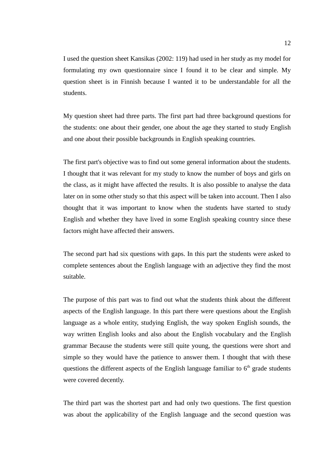I used the question sheet Kansikas (2002: 119) had used in her study as my model for formulating my own questionnaire since I found it to be clear and simple. My question sheet is in Finnish because I wanted it to be understandable for all the students.

My question sheet had three parts. The first part had three background questions for the students: one about their gender, one about the age they started to study English and one about their possible backgrounds in English speaking countries.

The first part's objective was to find out some general information about the students. I thought that it was relevant for my study to know the number of boys and girls on the class, as it might have affected the results. It is also possible to analyse the data later on in some other study so that this aspect will be taken into account. Then I also thought that it was important to know when the students have started to study English and whether they have lived in some English speaking country since these factors might have affected their answers.

The second part had six questions with gaps. In this part the students were asked to complete sentences about the English language with an adjective they find the most suitable.

The purpose of this part was to find out what the students think about the different aspects of the English language. In this part there were questions about the English language as a whole entity, studying English, the way spoken English sounds, the way written English looks and also about the English vocabulary and the English grammar Because the students were still quite young, the questions were short and simple so they would have the patience to answer them. I thought that with these questions the different aspects of the English language familiar to  $6<sup>th</sup>$  grade students were covered decently.

The third part was the shortest part and had only two questions. The first question was about the applicability of the English language and the second question was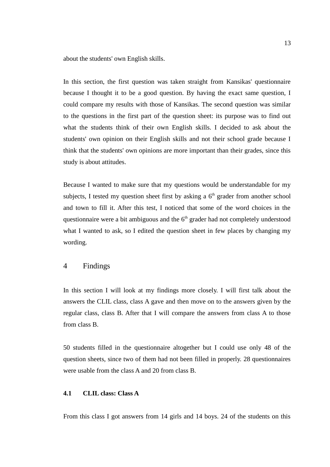about the students' own English skills.

In this section, the first question was taken straight from Kansikas' questionnaire because I thought it to be a good question. By having the exact same question, I could compare my results with those of Kansikas. The second question was similar to the questions in the first part of the question sheet: its purpose was to find out what the students think of their own English skills. I decided to ask about the students' own opinion on their English skills and not their school grade because I think that the students' own opinions are more important than their grades, since this study is about attitudes.

Because I wanted to make sure that my questions would be understandable for my subjects, I tested my question sheet first by asking a  $6<sup>th</sup>$  grader from another school and town to fill it. After this test, I noticed that some of the word choices in the questionnaire were a bit ambiguous and the  $6<sup>th</sup>$  grader had not completely understood what I wanted to ask, so I edited the question sheet in few places by changing my wording.

# 4 Findings

In this section I will look at my findings more closely. I will first talk about the answers the CLIL class, class A gave and then move on to the answers given by the regular class, class B. After that I will compare the answers from class A to those from class B.

50 students filled in the questionnaire altogether but I could use only 48 of the question sheets, since two of them had not been filled in properly. 28 questionnaires were usable from the class A and 20 from class B.

## **4.1 CLIL class: Class A**

From this class I got answers from 14 girls and 14 boys. 24 of the students on this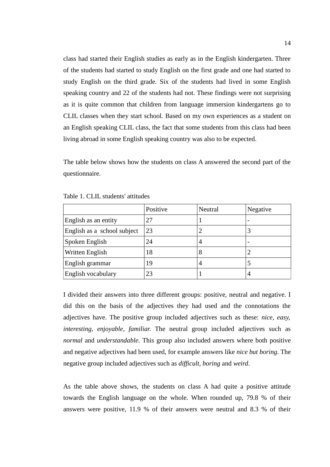class had started their English studies as early as in the English kindergarten. Three of the students had started to study English on the first grade and one had started to study English on the third grade. Six of the students had lived in some English speaking country and 22 of the students had not. These findings were not surprising as it is quite common that children from language immersion kindergartens go to CLIL classes when they start school. Based on my own experiences as a student on an English speaking CLIL class, the fact that some students from this class had been living abroad in some English speaking country was also to be expected.

The table below shows how the students on class A answered the second part of the questionnaire.

|                             | Positive | Neutral | Negative                 |
|-----------------------------|----------|---------|--------------------------|
| English as an entity        | 27       |         | $\overline{\phantom{0}}$ |
| English as a school subject | 23       |         |                          |
| Spoken English              | 24       | 4       | $\overline{\phantom{0}}$ |
| Written English             | 18       | 8       |                          |
| English grammar             | 19       | 4       |                          |
| English vocabulary          | 23       |         | 4                        |

Table 1. CLIL students' attitudes

I divided their answers into three different groups: positive, neutral and negative. I did this on the basis of the adjectives they had used and the connotations the adjectives have. The positive group included adjectives such as these: *nice, easy, interesting, enjoyable, familiar*. The neutral group included adjectives such as *normal* and *understandable*. This group also included answers where both positive and negative adjectives had been used, for example answers like *nice but boring*. The negative group included adjectives such as *difficult, boring* and *weird*.

As the table above shows, the students on class A had quite a positive attitude towards the English language on the whole. When rounded up, 79.8 % of their answers were positive, 11.9 % of their answers were neutral and 8.3 % of their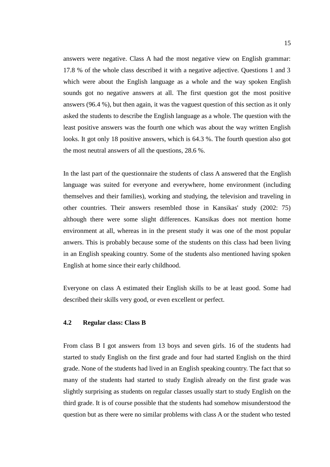answers were negative. Class A had the most negative view on English grammar: 17.8 % of the whole class described it with a negative adjective. Questions 1 and 3 which were about the English language as a whole and the way spoken English sounds got no negative answers at all. The first question got the most positive answers (96.4 %), but then again, it was the vaguest question of this section as it only asked the students to describe the English language as a whole. The question with the least positive answers was the fourth one which was about the way written English looks. It got only 18 positive answers, which is 64.3 %. The fourth question also got the most neutral answers of all the questions, 28.6 %.

In the last part of the questionnaire the students of class A answered that the English language was suited for everyone and everywhere, home environment (including themselves and their families), working and studying, the television and traveling in other countries. Their answers resembled those in Kansikas' study (2002: 75) although there were some slight differences. Kansikas does not mention home environment at all, whereas in in the present study it was one of the most popular anwers. This is probably because some of the students on this class had been living in an English speaking country. Some of the students also mentioned having spoken English at home since their early childhood.

Everyone on class A estimated their English skills to be at least good. Some had described their skills very good, or even excellent or perfect.

#### **4.2 Regular class: Class B**

From class B I got answers from 13 boys and seven girls. 16 of the students had started to study English on the first grade and four had started English on the third grade. None of the students had lived in an English speaking country. The fact that so many of the students had started to study English already on the first grade was slightly surprising as students on regular classes usually start to study English on the third grade. It is of course possible that the students had somehow misunderstood the question but as there were no similar problems with class A or the student who tested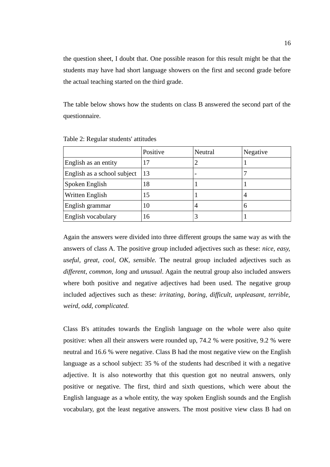the question sheet, I doubt that. One possible reason for this result might be that the students may have had short language showers on the first and second grade before the actual teaching started on the third grade.

The table below shows how the students on class B answered the second part of the questionnaire.

|                             | Positive | Neutral                  | Negative |
|-----------------------------|----------|--------------------------|----------|
| English as an entity        | 17       |                          |          |
| English as a school subject | 13       | $\overline{\phantom{0}}$ |          |
| Spoken English              | 18       |                          |          |
| Written English             | 15       |                          |          |
| English grammar             | 10       | 4                        | 6        |
| English vocabulary          | 16       |                          |          |

Table 2: Regular students' attitudes

Again the answers were divided into three different groups the same way as with the answers of class A. The positive group included adjectives such as these: *nice, easy, useful, great, cool, OK, sensible.* The neutral group included adjectives such as *different, common, long* and *unusual*. Again the neutral group also included answers where both positive and negative adjectives had been used. The negative group included adjectives such as these: *irritating, boring, difficult, unpleasant, terrible, weird, odd, complicated.*

Class B's attitudes towards the English language on the whole were also quite positive: when all their answers were rounded up, 74.2 % were positive, 9.2 % were neutral and 16.6 % were negative. Class B had the most negative view on the English language as a school subject: 35 % of the students had described it with a negative adjective. It is also noteworthy that this question got no neutral answers, only positive or negative. The first, third and sixth questions, which were about the English language as a whole entity, the way spoken English sounds and the English vocabulary, got the least negative answers. The most positive view class B had on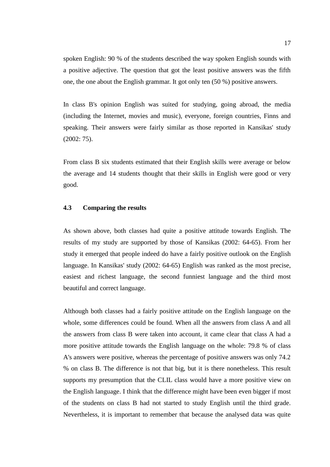spoken English: 90 % of the students described the way spoken English sounds with a positive adjective. The question that got the least positive answers was the fifth one, the one about the English grammar. It got only ten (50 %) positive answers.

In class B's opinion English was suited for studying, going abroad, the media (including the Internet, movies and music), everyone, foreign countries, Finns and speaking. Their answers were fairly similar as those reported in Kansikas' study (2002: 75).

From class B six students estimated that their English skills were average or below the average and 14 students thought that their skills in English were good or very good.

### **4.3 Comparing the results**

As shown above, both classes had quite a positive attitude towards English. The results of my study are supported by those of Kansikas (2002: 64-65). From her study it emerged that people indeed do have a fairly positive outlook on the English language. In Kansikas' study (2002: 64-65) English was ranked as the most precise, easiest and richest language, the second funniest language and the third most beautiful and correct language.

Although both classes had a fairly positive attitude on the English language on the whole, some differences could be found. When all the answers from class A and all the answers from class B were taken into account, it came clear that class A had a more positive attitude towards the English language on the whole: 79.8 % of class A's answers were positive, whereas the percentage of positive answers was only 74.2 % on class B. The difference is not that big, but it is there nonetheless. This result supports my presumption that the CLIL class would have a more positive view on the English language. I think that the difference might have been even bigger if most of the students on class B had not started to study English until the third grade. Nevertheless, it is important to remember that because the analysed data was quite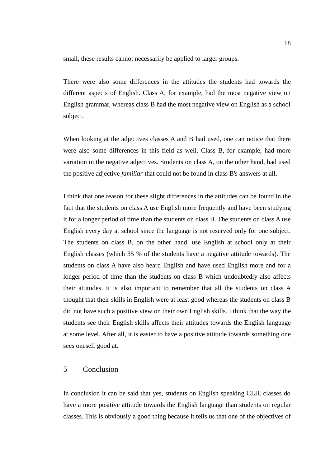small, these results cannot necessarily be applied to larger groups.

There were also some differences in the attitudes the students had towards the different aspects of English. Class A, for example, had the most negative view on English grammar, whereas class B had the most negative view on English as a school subject.

When looking at the adjectives classes A and B had used, one can notice that there were also some differences in this field as well. Class B, for example, had more variation in the negative adjectives. Students on class A, on the other hand, had used the positive adjective *familiar* that could not be found in class B's answers at all.

I think that one reason for these slight differences in the attitudes can be found in the fact that the students on class A use English more frequently and have been studying it for a longer period of time than the students on class B. The students on class A use English every day at school since the language is not reserved only for one subject. The students on class B, on the other hand, use English at school only at their English classes (which 35 % of the students have a negative attitude towards). The students on class A have also heard English and have used English more and for a longer period of time than the students on class B which undoubtedly also affects their attitudes. It is also important to remember that all the students on class A thought that their skills in English were at least good whereas the students on class B did not have such a positive view on their own English skills. I think that the way the students see their English skills affects their attitudes towards the English language at some level. After all, it is easier to have a positive attitude towards something one sees oneself good at.

# 5 Conclusion

In conclusion it can be said that yes, students on English speaking CLIL classes do have a more positive attitude towards the English language than students on regular classes. This is obviously a good thing because it tells us that one of the objectives of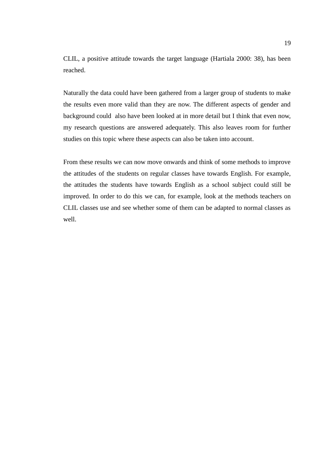CLIL, a positive attitude towards the target language (Hartiala 2000: 38), has been reached.

Naturally the data could have been gathered from a larger group of students to make the results even more valid than they are now. The different aspects of gender and background could also have been looked at in more detail but I think that even now, my research questions are answered adequately. This also leaves room for further studies on this topic where these aspects can also be taken into account.

From these results we can now move onwards and think of some methods to improve the attitudes of the students on regular classes have towards English. For example, the attitudes the students have towards English as a school subject could still be improved. In order to do this we can, for example, look at the methods teachers on CLIL classes use and see whether some of them can be adapted to normal classes as well.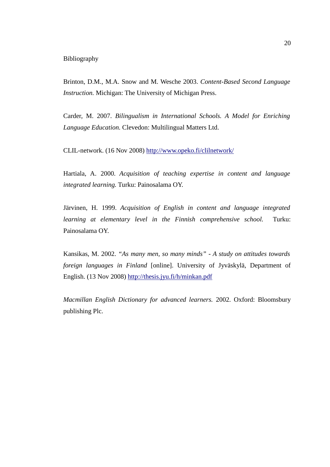## Bibliography

Brinton, D.M., M.A. Snow and M. Wesche 2003. *Content-Based Second Language Instruction.* Michigan: The University of Michigan Press.

Carder, M. 2007. *Bilingualism in International Schools. A Model for Enriching Language Education.* Clevedon: Multilingual Matters Ltd.

CLIL-network. (16 Nov 2008) http://www.opeko.fi/clilnetwork/

Hartiala, A. 2000. *Acquisition of teaching expertise in content and language integrated learning.* Turku: Painosalama OY.

Järvinen, H. 1999. *Acquisition of English in content and language integrated learning at elementary level in the Finnish comprehensive school.* Turku: Painosalama OY.

Kansikas, M. 2002. *"As many men, so many minds" - A study on attitudes towards foreign languages in Finland* [online]. University of Jyväskylä, Department of English. (13 Nov 2008) http://thesis.jyu.fi/h/minkan.pdf

*Macmillan English Dictionary for advanced learners.* 2002. Oxford: Bloomsbury publishing Plc.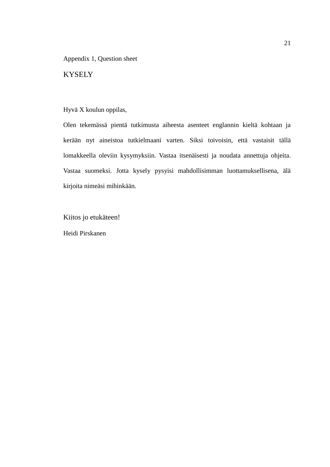Appendix 1, Question sheet

**KYSELY** 

# Hyvä X koulun oppilas,

Olen tekemässä pientä tutkimusta aiheesta asenteet englannin kieltä kohtaan ja kerään nyt aineistoa tutkielmaani varten. Siksi toivoisin, että vastaisit tällä lomakkeella oleviin kysymyksiin. Vastaa itsenäisesti ja noudata annettuja ohjeita. Vastaa suomeksi. Jotta kysely pysyisi mahdollisimman luottamuksellisena, älä kirjoita nimeäsi mihinkään.

Kiitos jo etukäteen!

Heidi Pirskanen